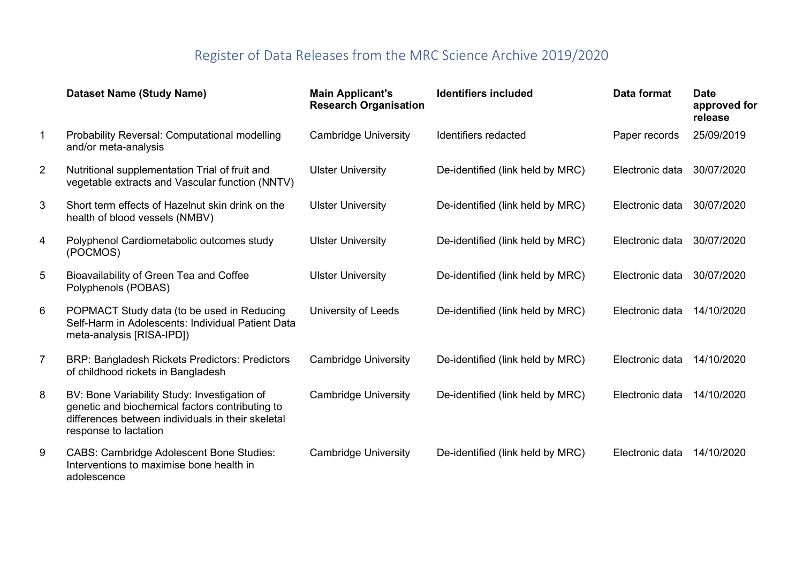## Register of Data Releases from the MRC Science Archive 2019/2020

|                | <b>Dataset Name (Study Name)</b>                                                                                                                                              | <b>Main Applicant's</b><br><b>Research Organisation</b> | <b>Identifiers included</b>      | Data format     | <b>Date</b><br>approved for<br>release |
|----------------|-------------------------------------------------------------------------------------------------------------------------------------------------------------------------------|---------------------------------------------------------|----------------------------------|-----------------|----------------------------------------|
| $\mathbf{1}$   | Probability Reversal: Computational modelling<br>and/or meta-analysis                                                                                                         | <b>Cambridge University</b>                             | Identifiers redacted             | Paper records   | 25/09/2019                             |
| $\overline{2}$ | Nutritional supplementation Trial of fruit and<br>vegetable extracts and Vascular function (NNTV)                                                                             | <b>Ulster University</b>                                | De-identified (link held by MRC) | Electronic data | 30/07/2020                             |
| 3              | Short term effects of Hazelnut skin drink on the<br>health of blood vessels (NMBV)                                                                                            | <b>Ulster University</b>                                | De-identified (link held by MRC) | Electronic data | 30/07/2020                             |
| 4              | Polyphenol Cardiometabolic outcomes study<br>(POCMOS)                                                                                                                         | <b>Ulster University</b>                                | De-identified (link held by MRC) | Electronic data | 30/07/2020                             |
| 5              | Bioavailability of Green Tea and Coffee<br>Polyphenols (POBAS)                                                                                                                | <b>Ulster University</b>                                | De-identified (link held by MRC) | Electronic data | 30/07/2020                             |
| 6              | POPMACT Study data (to be used in Reducing<br>Self-Harm in Adolescents: Individual Patient Data<br>meta-analysis [RISA-IPD])                                                  | University of Leeds                                     | De-identified (link held by MRC) | Electronic data | 14/10/2020                             |
| 7              | BRP: Bangladesh Rickets Predictors: Predictors<br>of childhood rickets in Bangladesh                                                                                          | <b>Cambridge University</b>                             | De-identified (link held by MRC) | Electronic data | 14/10/2020                             |
| 8              | BV: Bone Variability Study: Investigation of<br>genetic and biochemical factors contributing to<br>differences between individuals in their skeletal<br>response to lactation | <b>Cambridge University</b>                             | De-identified (link held by MRC) | Electronic data | 14/10/2020                             |
| 9              | <b>CABS: Cambridge Adolescent Bone Studies:</b><br>Interventions to maximise bone health in<br>adolescence                                                                    | <b>Cambridge University</b>                             | De-identified (link held by MRC) | Electronic data | 14/10/2020                             |